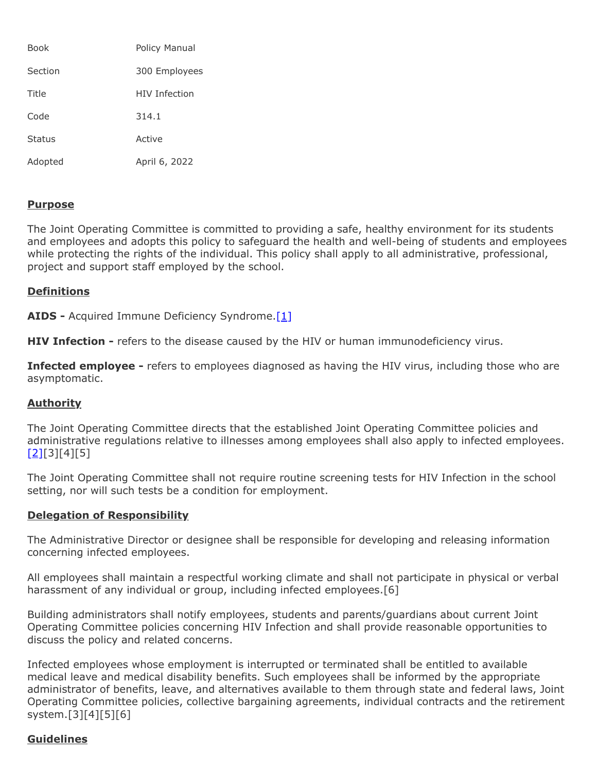| Book          | Policy Manual |
|---------------|---------------|
| Section       | 300 Employees |
| Title         | HIV Infection |
| Code          | 314.1         |
| <b>Status</b> | Active        |
| Adopted       | April 6, 2022 |

# **Purpose**

The Joint Operating Committee is committed to providing a safe, healthy environment for its students and employees and adopts this policy to safeguard the health and well-being of students and employees while protecting the rights of the individual. This policy shall apply to all administrative, professional, project and support staff employed by the school.

### **Definitions**

**AIDS** - Acquired Immune Deficiency Syndrome[.\[1\]](http://www.legis.state.pa.us/cfdocs/Legis/LI/uconsCheck.cfm?txtType=HTM&yr=1990&sessInd=0&smthLwInd=0&act=0148.)

**HIV Infection -** refers to the disease caused by the HIV or human immunodeficiency virus.

**Infected employee -** refers to employees diagnosed as having the HIV virus, including those who are asymptomatic.

#### **Authority**

The Joint Operating Committee directs that the established Joint Operating Committee policies and administrative regulations relative to illnesses among employees shall also apply to infected employees.  $[2][3][4][5]$  $[2][3][4][5]$ 

The Joint Operating Committee shall not require routine screening tests for HIV Infection in the school setting, nor will such tests be a condition for employment.

#### **Delegation of Responsibility**

The Administrative Director or designee shall be responsible for developing and releasing information concerning infected employees.

All employees shall maintain a respectful working climate and shall not participate in physical or verbal harassment of any individual or group, including infected employees.[6]

Building administrators shall notify employees, students and parents/guardians about current Joint Operating Committee policies concerning HIV Infection and shall provide reasonable opportunities to discuss the policy and related concerns.

Infected employees whose employment is interrupted or terminated shall be entitled to available medical leave and medical disability benefits. Such employees shall be informed by the appropriate administrator of benefits, leave, and alternatives available to them through state and federal laws, Joint Operating Committee policies, collective bargaining agreements, individual contracts and the retirement system.[3][4][5][6]

# **Guidelines**